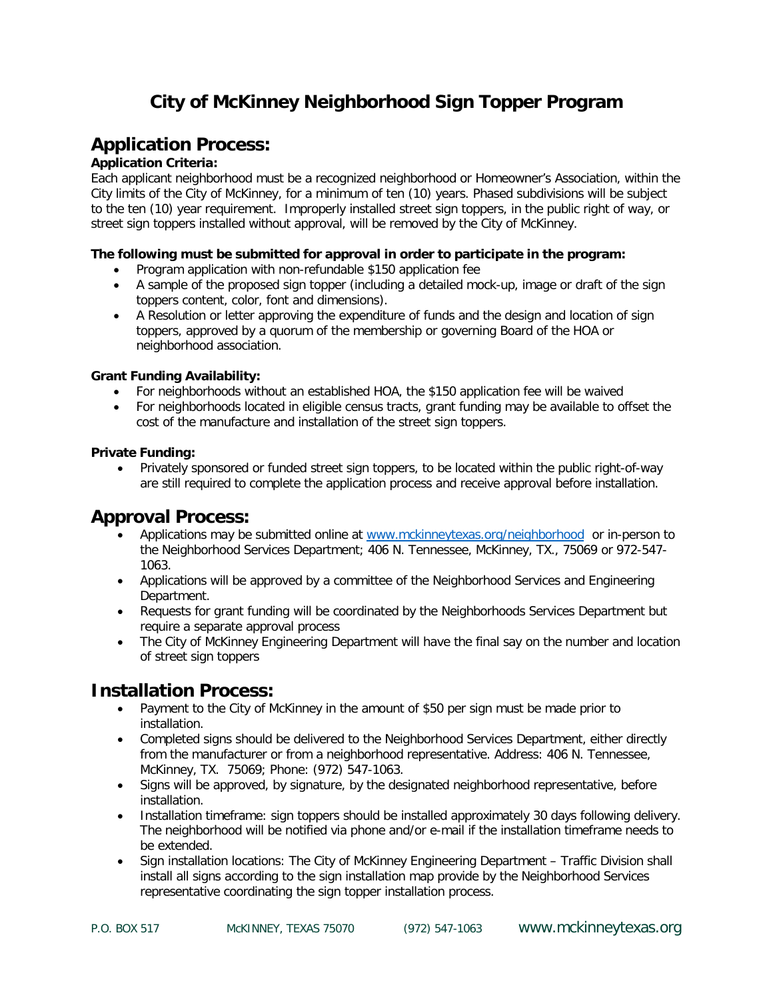# **City of McKinney Neighborhood Sign Topper Program**

## **Application Process:**

#### **Application Criteria:**

Each applicant neighborhood must be a recognized neighborhood or Homeowner's Association, within the City limits of the City of McKinney, for a minimum of ten (10) years. Phased subdivisions will be subject to the ten (10) year requirement. Improperly installed street sign toppers, in the public right of way, or street sign toppers installed without approval, will be removed by the City of McKinney.

#### **The following must be submitted for approval in order to participate in the program:**

- Program application with non-refundable \$150 application fee
- A sample of the proposed sign topper (including a detailed mock-up, image or draft of the sign toppers content, color, font and dimensions).
- A Resolution or letter approving the expenditure of funds and the design and location of sign toppers, approved by a quorum of the membership or governing Board of the HOA or neighborhood association.

#### **Grant Funding Availability:**

- For neighborhoods without an established HOA, the \$150 application fee will be waived
- For neighborhoods located in eligible census tracts, grant funding may be available to offset the cost of the manufacture and installation of the street sign toppers.

#### **Private Funding:**

• Privately sponsored or funded street sign toppers, to be located within the public right-of-way are still required to complete the application process and receive approval before installation.

## **Approval Process:**

- Applications may be submitted online at [www.mckinneytexas.org/neighborhood](http://www.mckinneytexas.org/neighborhood) or in-person to the Neighborhood Services Department; 406 N. Tennessee, McKinney, TX., 75069 or 972-547- 1063.
- Applications will be approved by a committee of the Neighborhood Services and Engineering Department.
- Requests for grant funding will be coordinated by the Neighborhoods Services Department but require a separate approval process
- The City of McKinney Engineering Department will have the final say on the number and location of street sign toppers

## **Installation Process:**

- Payment to the City of McKinney in the amount of \$50 per sign must be made prior to installation.
- Completed signs should be delivered to the Neighborhood Services Department, either directly from the manufacturer or from a neighborhood representative. Address: 406 N. Tennessee, McKinney, TX. 75069; Phone: (972) 547-1063.
- Signs will be approved, by signature, by the designated neighborhood representative, before installation.
- Installation timeframe: sign toppers should be installed approximately 30 days following delivery. The neighborhood will be notified via phone and/or e-mail if the installation timeframe needs to be extended.
- Sign installation locations: The City of McKinney Engineering Department Traffic Division shall install all signs according to the sign installation map provide by the Neighborhood Services representative coordinating the sign topper installation process.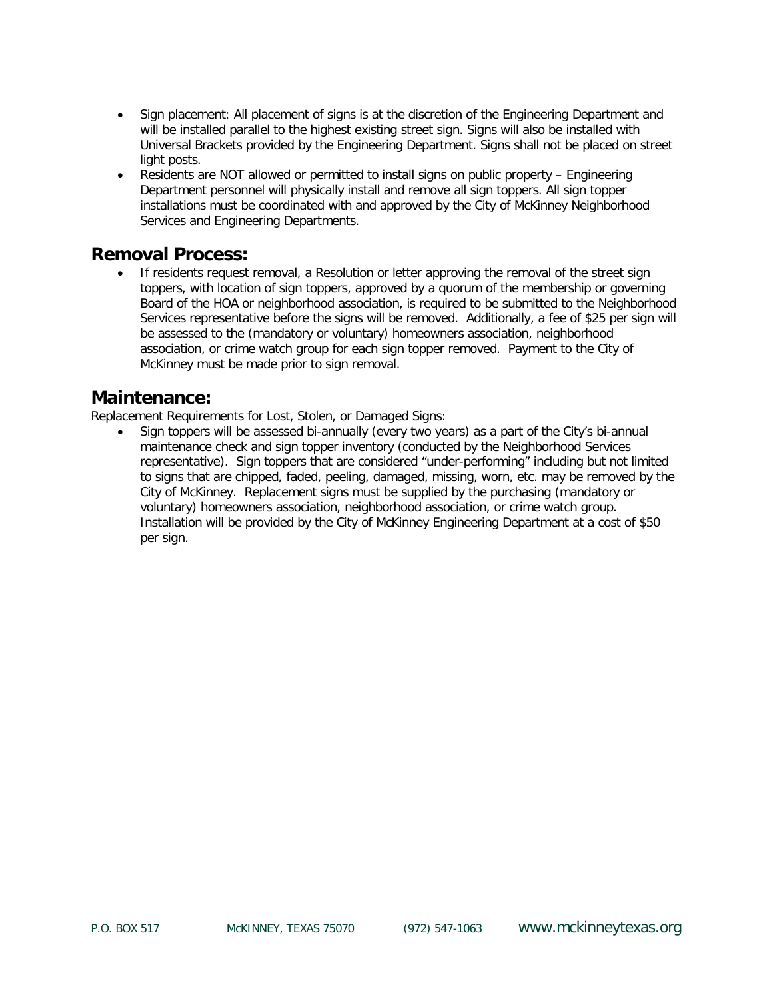- Sign placement: All placement of signs is at the discretion of the Engineering Department and will be installed parallel to the highest existing street sign. Signs will also be installed with Universal Brackets provided by the Engineering Department. Signs shall not be placed on street light posts.
- Residents are NOT allowed or permitted to install signs on public property Engineering Department personnel will physically install and remove all sign toppers. All sign topper installations must be coordinated with and approved by the City of McKinney Neighborhood Services and Engineering Departments.

## **Removal Process:**

• If residents request removal, a Resolution or letter approving the removal of the street sign toppers, with location of sign toppers, approved by a quorum of the membership or governing Board of the HOA or neighborhood association, is required to be submitted to the Neighborhood Services representative before the signs will be removed. Additionally, a fee of \$25 per sign will be assessed to the (mandatory or voluntary) homeowners association, neighborhood association, or crime watch group for each sign topper removed. Payment to the City of McKinney must be made prior to sign removal.

### **Maintenance:**

Replacement Requirements for Lost, Stolen, or Damaged Signs:

• Sign toppers will be assessed bi-annually (every two years) as a part of the City's bi-annual maintenance check and sign topper inventory (conducted by the Neighborhood Services representative). Sign toppers that are considered "under-performing" including but not limited to signs that are chipped, faded, peeling, damaged, missing, worn, etc. may be removed by the City of McKinney. Replacement signs must be supplied by the purchasing (mandatory or voluntary) homeowners association, neighborhood association, or crime watch group. Installation will be provided by the City of McKinney Engineering Department at a cost of \$50 per sign.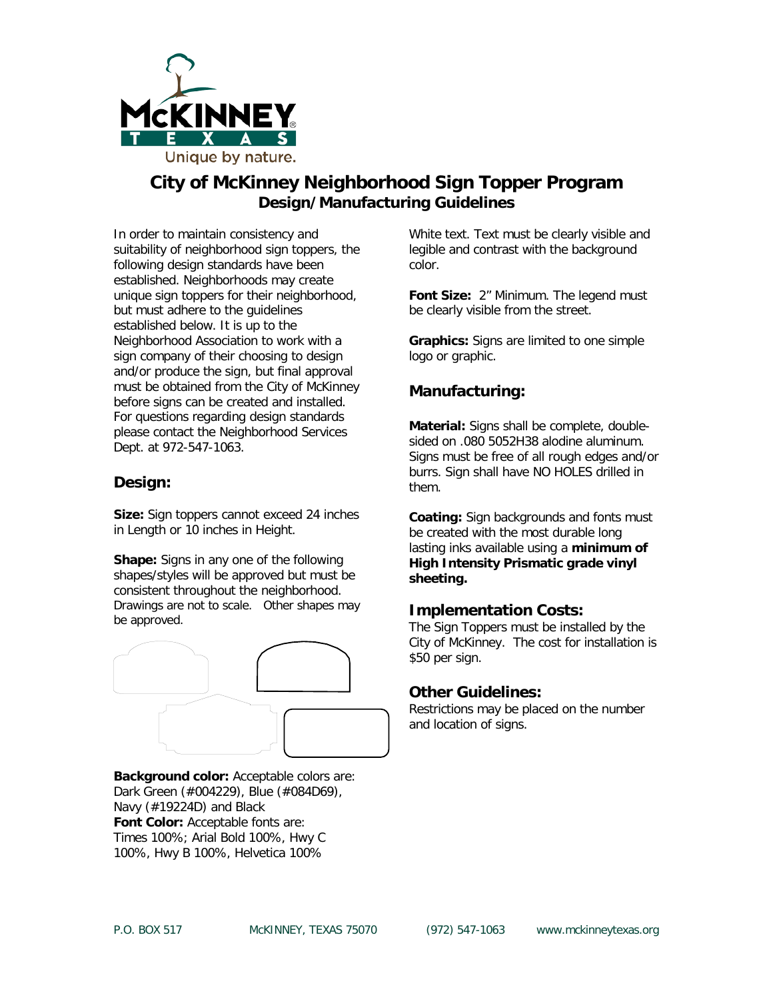

## **City of McKinney Neighborhood Sign Topper Program Design/Manufacturing Guidelines**

In order to maintain consistency and suitability of neighborhood sign toppers, the following design standards have been established. Neighborhoods may create unique sign toppers for their neighborhood, but must adhere to the guidelines established below. It is up to the Neighborhood Association to work with a sign company of their choosing to design and/or produce the sign, but final approval must be obtained from the City of McKinney before signs can be created and installed. For questions regarding design standards please contact the Neighborhood Services Dept. at 972-547-1063.

### **Design:**

**Size:** Sign toppers cannot exceed 24 inches in Length or 10 inches in Height.

**Shape:** Signs in any one of the following shapes/styles will be approved but must be consistent throughout the neighborhood. Drawings are not to scale. Other shapes may be approved.



**Background color:** Acceptable colors are: Dark Green (#004229), Blue (#084D69), Navy (#19224D) and Black **Font Color:** Acceptable fonts are: Times 100%; Arial Bold 100%, Hwy C 100%, Hwy B 100%, Helvetica 100%

White text. Text must be clearly visible and legible and contrast with the background color.

**Font Size:** 2" Minimum. The legend must be clearly visible from the street.

**Graphics:** Signs are limited to one simple logo or graphic.

### **Manufacturing:**

**Material:** Signs shall be complete, doublesided on .080 5052H38 alodine aluminum. Signs must be free of all rough edges and/or burrs. Sign shall have NO HOLES drilled in them.

**Coating:** Sign backgrounds and fonts must be created with the most durable long lasting inks available using a **minimum of High Intensity Prismatic grade vinyl sheeting.**

### **Implementation Costs:**

The Sign Toppers must be installed by the City of McKinney. The cost for installation is \$50 per sign.

### **Other Guidelines:**

Restrictions may be placed on the number and location of signs.